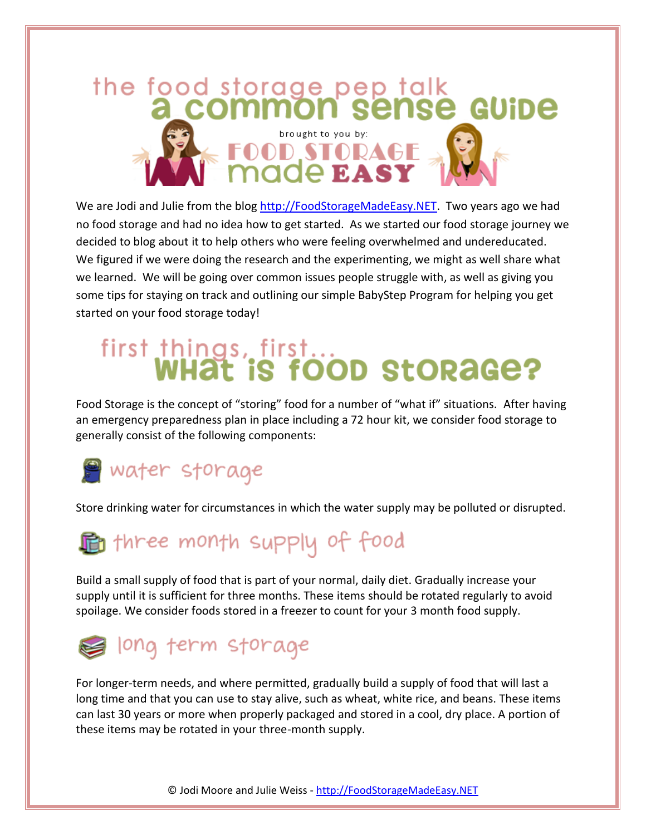

We are Jodi and Julie from the blog [http://FoodStorageMadeEasy.NET.](http://foodstoragemadeeasy.net/) Two years ago we had no food storage and had no idea how to get started. As we started our food storage journey we decided to blog about it to help others who were feeling overwhelmed and undereducated. We figured if we were doing the research and the experimenting, we might as well share what we learned. We will be going over common issues people struggle with, as well as giving you some tips for staying on track and outlining our simple BabyStep Program for helping you get started on your food storage today!

# first things, first...<br>WHat is food storage?

Food Storage is the concept of "storing" food for a number of "what if" situations. After having an emergency preparedness plan in place including a 72 hour kit, we consider food storage to generally consist of the following components:

# **Water** storage

Store drinking water for circumstances in which the water supply may be polluted or disrupted.

# three month supply of food

Build a small supply of food that is part of your normal, daily diet. Gradually increase your supply until it is sufficient for three months. These items should be rotated regularly to avoid spoilage. We consider foods stored in a freezer to count for your 3 month food supply.



For longer-term needs, and where permitted, gradually build a supply of food that will last a long time and that you can use to stay alive, such as wheat, white rice, and beans. These items can last 30 years or more when properly packaged and stored in a cool, dry place. A portion of these items may be rotated in your three-month supply.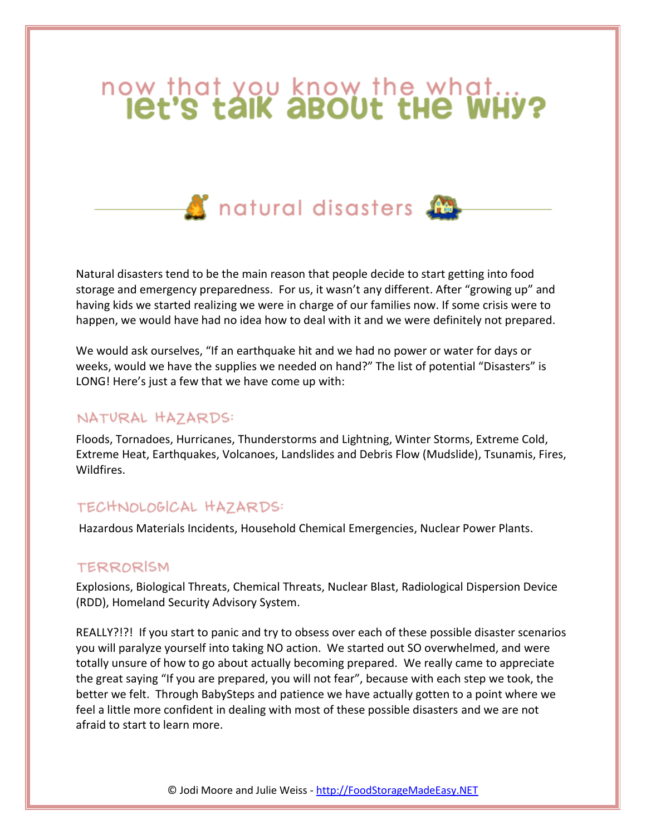# now that you know the what...



Natural disasters tend to be the main reason that people decide to start getting into food storage and emergency preparedness. For us, it wasn't any different. After "growing up" and having kids we started realizing we were in charge of our families now. If some crisis were to happen, we would have had no idea how to deal with it and we were definitely not prepared.

We would ask ourselves, "If an earthquake hit and we had no power or water for days or weeks, would we have the supplies we needed on hand?" The list of potential "Disasters" is LONG! Here's just a few that we have come up with:

## NATURAL HAZARDS:

Floods, Tornadoes, Hurricanes, Thunderstorms and Lightning, Winter Storms, Extreme Cold, Extreme Heat, Earthquakes, Volcanoes, Landslides and Debris Flow (Mudslide), Tsunamis, Fires, Wildfires.

## TECHNOLOGICAL HAZARDS:

Hazardous Materials Incidents, Household Chemical Emergencies, Nuclear Power Plants.

#### TERRORISM

Explosions, Biological Threats, Chemical Threats, Nuclear Blast, Radiological Dispersion Device (RDD), Homeland Security Advisory System.

REALLY?!?! If you start to panic and try to obsess over each of these possible disaster scenarios you will paralyze yourself into taking NO action. We started out SO overwhelmed, and were totally unsure of how to go about actually becoming prepared. We really came to appreciate the great saying "If you are prepared, you will not fear", because with each step we took, the better we felt. Through BabySteps and patience we have actually gotten to a point where we feel a little more confident in dealing with most of these possible disasters and we are not afraid to start to learn more.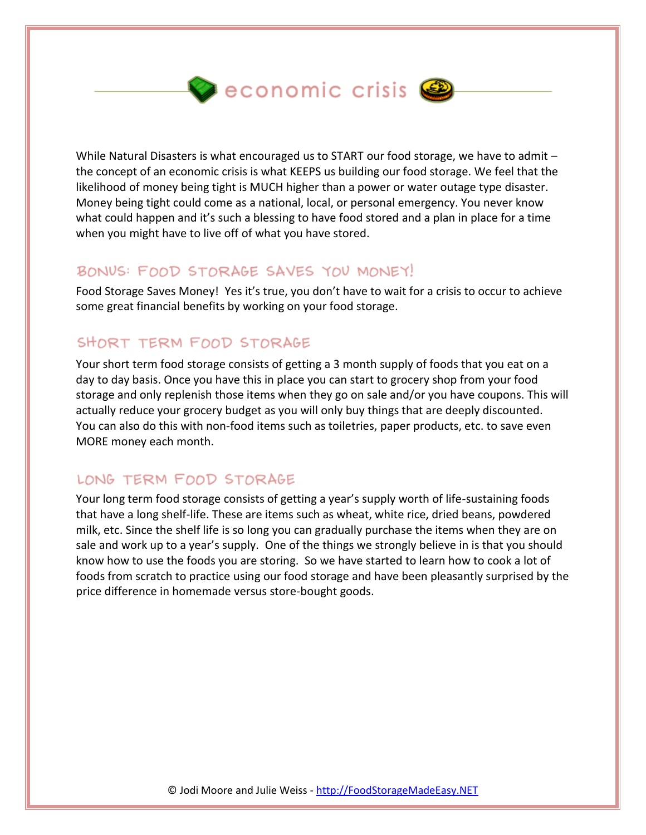$\bullet$  economic crisis  $\bullet$ 

While Natural Disasters is what encouraged us to START our food storage, we have to admit the concept of an economic crisis is what KEEPS us building our food storage. We feel that the likelihood of money being tight is MUCH higher than a power or water outage type disaster. Money being tight could come as a national, local, or personal emergency. You never know what could happen and it's such a blessing to have food stored and a plan in place for a time when you might have to live off of what you have stored.

# BONUS: FOOD STORAGE SAVES YOU MONEY!

Food Storage Saves Money! Yes it's true, you don't have to wait for a crisis to occur to achieve some great financial benefits by working on your food storage.

# SHORT TERM FOOD STORAGE

Your short term food storage consists of getting a 3 month supply of foods that you eat on a day to day basis. Once you have this in place you can start to grocery shop from your food storage and only replenish those items when they go on sale and/or you have coupons. This will actually reduce your grocery budget as you will only buy things that are deeply discounted. You can also do this with non-food items such as toiletries, paper products, etc. to save even MORE money each month.

# LONG TERM FOOD STORAGE

Your long term food storage consists of getting a year's supply worth of life-sustaining foods that have a long shelf-life. These are items such as wheat, white rice, dried beans, powdered milk, etc. Since the shelf life is so long you can gradually purchase the items when they are on sale and work up to a year's supply. One of the things we strongly believe in is that you should know how to use the foods you are storing. So we have started to learn how to cook a lot of foods from scratch to practice using our food storage and have been pleasantly surprised by the price difference in homemade versus store-bought goods.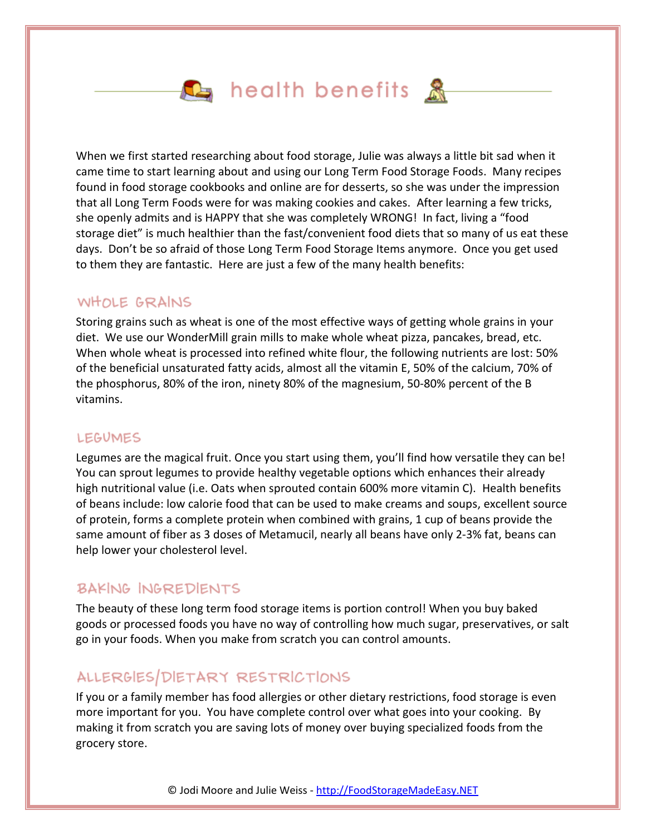# $\mathbf{L}_i$  health benefits  $\mathbf{\mathcal{R}}_i$

When we first started researching about food storage, Julie was always a little bit sad when it came time to start learning about and using our Long Term Food Storage Foods. Many recipes found in food storage cookbooks and online are for desserts, so she was under the impression that all Long Term Foods were for was making cookies and cakes. After learning a few tricks, she openly admits and is HAPPY that she was completely WRONG! In fact, living a "food storage diet" is much healthier than the fast/convenient food diets that so many of us eat these days. Don't be so afraid of those Long Term Food Storage Items anymore. Once you get used to them they are fantastic. Here are just a few of the many health benefits:

#### WHOLE GRAINS

Storing grains such as wheat is one of the most effective ways of getting whole grains in your diet. We use our WonderMill grain mills to make whole wheat pizza, pancakes, bread, etc. When whole wheat is processed into refined white flour, the following nutrients are lost: 50% of the beneficial unsaturated fatty acids, almost all the vitamin E, 50% of the calcium, 70% of the phosphorus, 80% of the iron, ninety 80% of the magnesium, 50-80% percent of the B vitamins.

#### **LEGUMES**

Legumes are the magical fruit. Once you start using them, you'll find how versatile they can be! You can sprout legumes to provide healthy vegetable options which enhances their already high nutritional value (i.e. Oats when sprouted contain 600% more vitamin C). Health benefits of beans include: low calorie food that can be used to make creams and soups, excellent source of protein, forms a complete protein when combined with grains, 1 cup of beans provide the same amount of fiber as 3 doses of Metamucil, nearly all beans have only 2-3% fat, beans can help lower your cholesterol level.

## **BAKING INGREDIENTS**

The beauty of these long term food storage items is portion control! When you buy baked goods or processed foods you have no way of controlling how much sugar, preservatives, or salt go in your foods. When you make from scratch you can control amounts.

# ALLERGIES/DIETARY RESTRICTIONS

If you or a family member has food allergies or other dietary restrictions, food storage is even more important for you. You have complete control over what goes into your cooking. By making it from scratch you are saving lots of money over buying specialized foods from the grocery store.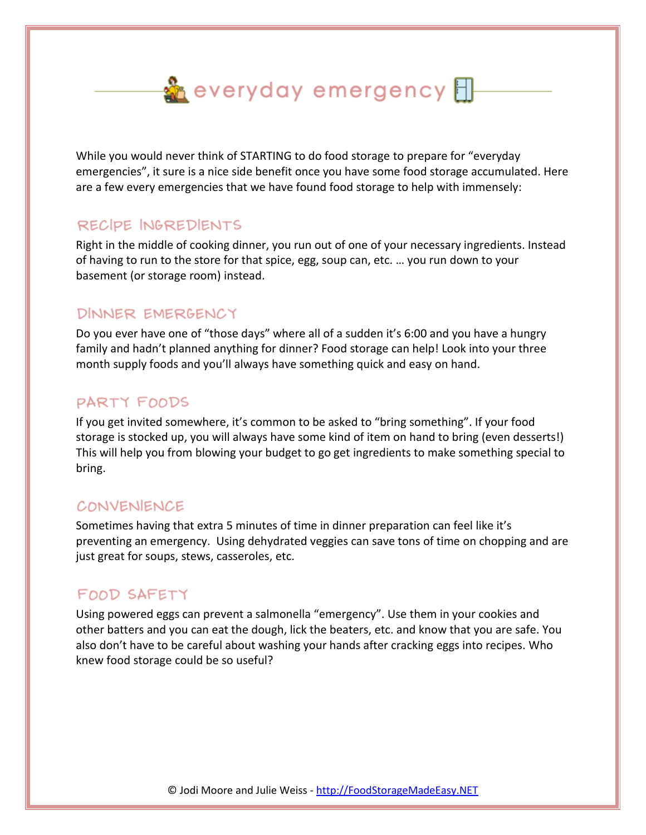$\frac{3}{20}$  everyday emergency  $\boxplus$ 

While you would never think of STARTING to do food storage to prepare for "everyday emergencies", it sure is a nice side benefit once you have some food storage accumulated. Here are a few every emergencies that we have found food storage to help with immensely:

# RECIPE INGREDIENTS

Right in the middle of cooking dinner, you run out of one of your necessary ingredients. Instead of having to run to the store for that spice, egg, soup can, etc. … you run down to your basement (or storage room) instead.

## DINNER EMERGENCY

Do you ever have one of "those days" where all of a sudden it's 6:00 and you have a hungry family and hadn't planned anything for dinner? Food storage can help! Look into your three month supply foods and you'll always have something quick and easy on hand.

## PARTY FOODS

If you get invited somewhere, it's common to be asked to "bring something". If your food storage is stocked up, you will always have some kind of item on hand to bring (even desserts!) This will help you from blowing your budget to go get ingredients to make something special to bring.

## CONVENIENCE

Sometimes having that extra 5 minutes of time in dinner preparation can feel like it's preventing an emergency. Using dehydrated veggies can save tons of time on chopping and are just great for soups, stews, casseroles, etc.

# FOOD SAFETY

Using powered eggs can prevent a salmonella "emergency". Use them in your cookies and other batters and you can eat the dough, lick the beaters, etc. and know that you are safe. You also don't have to be careful about washing your hands after cracking eggs into recipes. Who knew food storage could be so useful?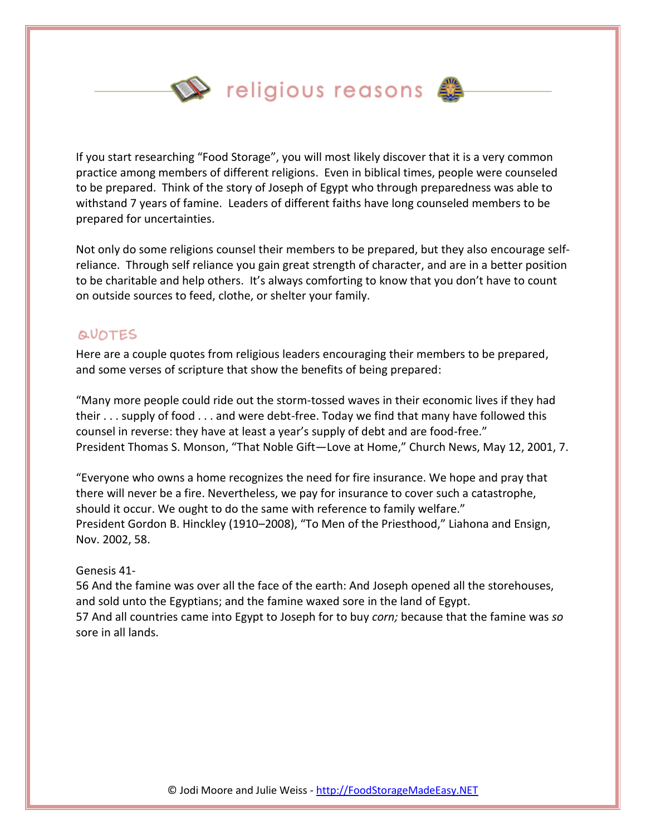$\mathbf{\mathbb{Q}}$  religious reasons  $\mathbf{\mathbb{Q}}$ 



If you start researching "Food Storage", you will most likely discover that it is a very common practice among members of different religions. Even in biblical times, people were counseled to be prepared. Think of the story of Joseph of Egypt who through preparedness was able to withstand 7 years of famine. Leaders of different faiths have long counseled members to be prepared for uncertainties.

Not only do some religions counsel their members to be prepared, but they also encourage selfreliance. Through self reliance you gain great strength of character, and are in a better position to be charitable and help others. It's always comforting to know that you don't have to count on outside sources to feed, clothe, or shelter your family.

#### QUOTES

Here are a couple quotes from religious leaders encouraging their members to be prepared, and some verses of scripture that show the benefits of being prepared:

"Many more people could ride out the storm-tossed waves in their economic lives if they had their . . . supply of food . . . and were debt-free. Today we find that many have followed this counsel in reverse: they have at least a year's supply of debt and are food-free." President Thomas S. Monson, "That Noble Gift—Love at Home," Church News, May 12, 2001, 7.

"Everyone who owns a home recognizes the need for fire insurance. We hope and pray that there will never be a fire. Nevertheless, we pay for insurance to cover such a catastrophe, should it occur. We ought to do the same with reference to family welfare." President Gordon B. Hinckley (1910–2008), "To Men of the Priesthood," Liahona and Ensign, Nov. 2002, 58.

#### Genesis 41-

56 And the famine was over all the face of the earth: And Joseph opened all the storehouses, and sold unto the Egyptians; and the famine waxed sore in the land of Egypt. 57 And all countries came into Egypt to Joseph for to buy *corn;* because that the famine was *so* sore in all lands.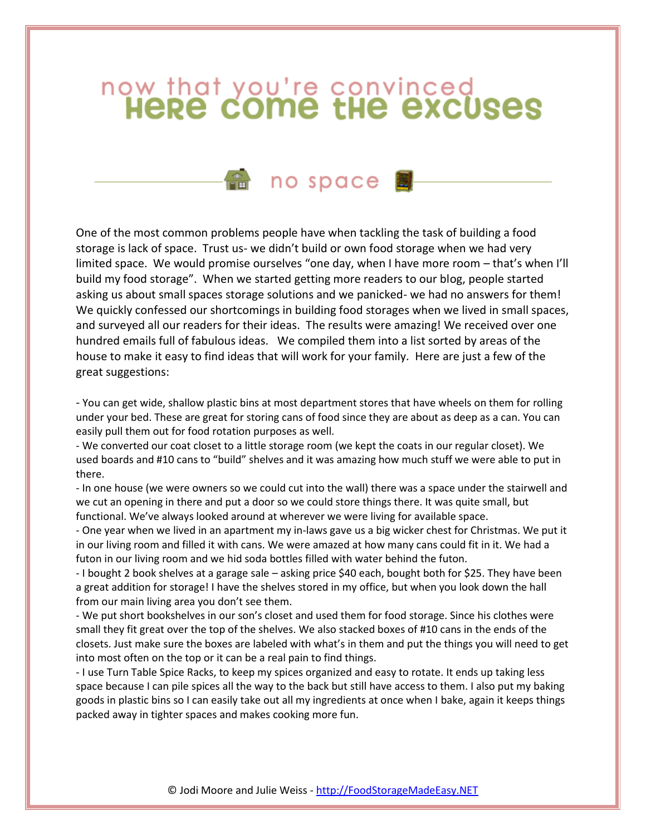# now that you're convinced<br> **HeRe come the excuses**

# em no space 图

One of the most common problems people have when tackling the task of building a food storage is lack of space. Trust us- we didn't build or own food storage when we had very limited space. We would promise ourselves "one day, when I have more room – that's when I'll build my food storage". When we started getting more readers to our blog, people started asking us about small spaces storage solutions and we panicked- we had no answers for them! We quickly confessed our shortcomings in building food storages when we lived in small spaces, and surveyed all our readers for their ideas. The results were amazing! We received over one hundred emails full of fabulous ideas. We compiled them into a list sorted by areas of the house to make it easy to find ideas that will work for your family. Here are just a few of the great suggestions:

- You can get wide, shallow plastic bins at most department stores that have wheels on them for rolling under your bed. These are great for storing cans of food since they are about as deep as a can. You can easily pull them out for food rotation purposes as well.

- We converted our coat closet to a little storage room (we kept the coats in our regular closet). We used boards and #10 cans to "build" shelves and it was amazing how much stuff we were able to put in there.

- In one house (we were owners so we could cut into the wall) there was a space under the stairwell and we cut an opening in there and put a door so we could store things there. It was quite small, but functional. We've always looked around at wherever we were living for available space.

- One year when we lived in an apartment my in-laws gave us a big wicker chest for Christmas. We put it in our living room and filled it with cans. We were amazed at how many cans could fit in it. We had a futon in our living room and we hid soda bottles filled with water behind the futon.

- I bought 2 book shelves at a garage sale – asking price \$40 each, bought both for \$25. They have been a great addition for storage! I have the shelves stored in my office, but when you look down the hall from our main living area you don't see them.

- We put short bookshelves in our son's closet and used them for food storage. Since his clothes were small they fit great over the top of the shelves. We also stacked boxes of #10 cans in the ends of the closets. Just make sure the boxes are labeled with what's in them and put the things you will need to get into most often on the top or it can be a real pain to find things.

- I use Turn Table Spice Racks, to keep my spices organized and easy to rotate. It ends up taking less space because I can pile spices all the way to the back but still have access to them. I also put my baking goods in plastic bins so I can easily take out all my ingredients at once when I bake, again it keeps things packed away in tighter spaces and makes cooking more fun.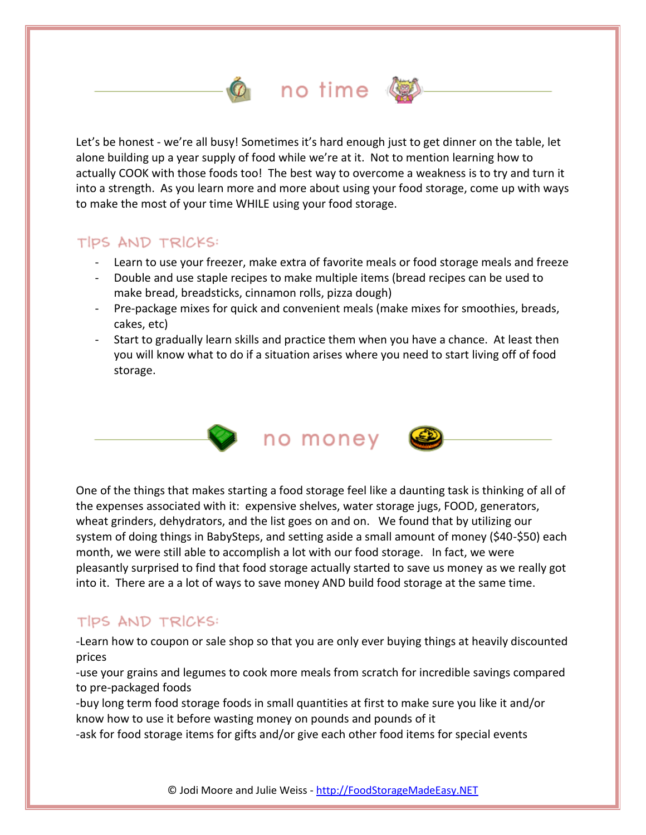# no time  $\mathbb{Q}$

Let's be honest - we're all busy! Sometimes it's hard enough just to get dinner on the table, let alone building up a year supply of food while we're at it. Not to mention learning how to actually COOK with those foods too! The best way to overcome a weakness is to try and turn it into a strength. As you learn more and more about using your food storage, come up with ways to make the most of your time WHILE using your food storage.

## TIPS AND TRICKS:

- Learn to use your freezer, make extra of favorite meals or food storage meals and freeze
- Double and use staple recipes to make multiple items (bread recipes can be used to make bread, breadsticks, cinnamon rolls, pizza dough)
- Pre-package mixes for quick and convenient meals (make mixes for smoothies, breads, cakes, etc)
- Start to gradually learn skills and practice them when you have a chance. At least then you will know what to do if a situation arises where you need to start living off of food storage.



One of the things that makes starting a food storage feel like a daunting task is thinking of all of the expenses associated with it: expensive shelves, water storage jugs, FOOD, generators, wheat grinders, dehydrators, and the list goes on and on. We found that by utilizing our system of doing things in BabySteps, and setting aside a small amount of money (\$40-\$50) each month, we were still able to accomplish a lot with our food storage. In fact, we were pleasantly surprised to find that food storage actually started to save us money as we really got into it. There are a a lot of ways to save money AND build food storage at the same time.

# TIPS AND TRICKS:

-Learn how to coupon or sale shop so that you are only ever buying things at heavily discounted prices

-use your grains and legumes to cook more meals from scratch for incredible savings compared to pre-packaged foods

-buy long term food storage foods in small quantities at first to make sure you like it and/or know how to use it before wasting money on pounds and pounds of it

-ask for food storage items for gifts and/or give each other food items for special events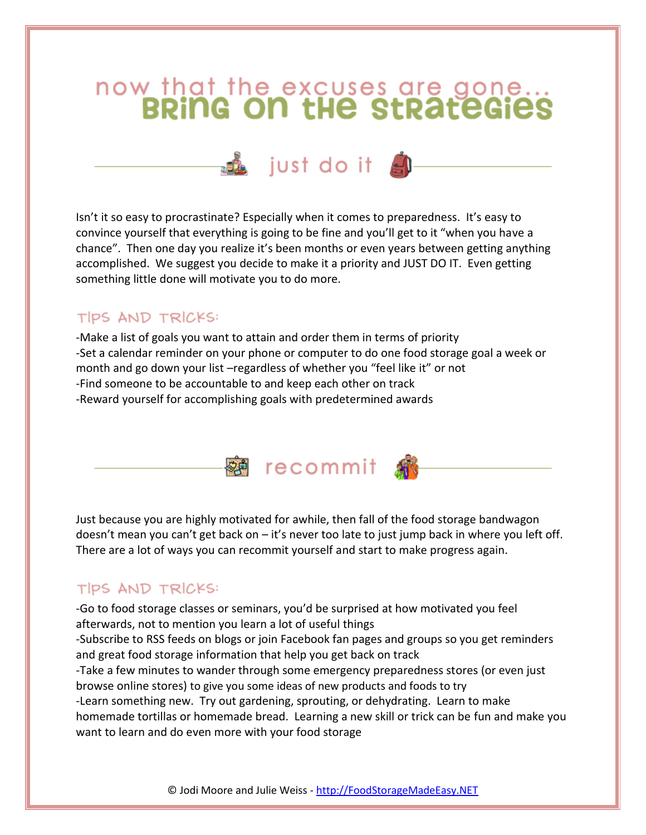# now that the excuses are gone...<br>**BRING ON tHe StRateGies**



Isn't it so easy to procrastinate? Especially when it comes to preparedness. It's easy to convince yourself that everything is going to be fine and you'll get to it "when you have a chance". Then one day you realize it's been months or even years between getting anything accomplished. We suggest you decide to make it a priority and JUST DO IT. Even getting something little done will motivate you to do more.

# TIPS AND TRICKS:

-Make a list of goals you want to attain and order them in terms of priority -Set a calendar reminder on your phone or computer to do one food storage goal a week or month and go down your list –regardless of whether you "feel like it" or not -Find someone to be accountable to and keep each other on track -Reward yourself for accomplishing goals with predetermined awards



Just because you are highly motivated for awhile, then fall of the food storage bandwagon doesn't mean you can't get back on – it's never too late to just jump back in where you left off. There are a lot of ways you can recommit yourself and start to make progress again.

# TIPS AND TRICKS:

-Go to food storage classes or seminars, you'd be surprised at how motivated you feel afterwards, not to mention you learn a lot of useful things

-Subscribe to RSS feeds on blogs or join Facebook fan pages and groups so you get reminders and great food storage information that help you get back on track

-Take a few minutes to wander through some emergency preparedness stores (or even just browse online stores) to give you some ideas of new products and foods to try

-Learn something new. Try out gardening, sprouting, or dehydrating. Learn to make homemade tortillas or homemade bread. Learning a new skill or trick can be fun and make you want to learn and do even more with your food storage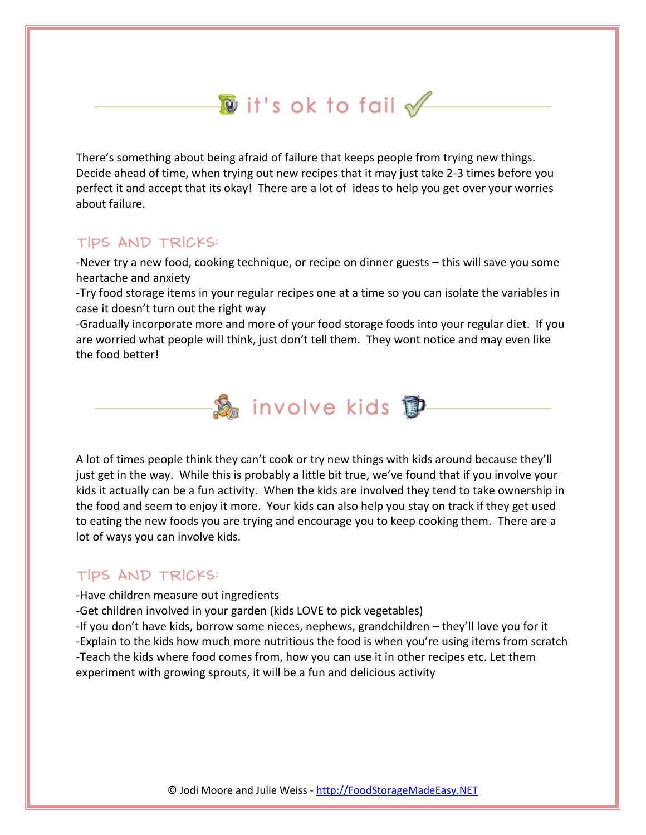# $\overline{\textbf{D}}$  it's ok to fail  $\cancel{\mathscr{P}}$

There's something about being afraid of failure that keeps people from trying new things. Decide ahead of time, when trying out new recipes that it may just take 2-3 times before you perfect it and accept that its okay! There are a lot of ideas to help you get over your worries about failure.

## TIPS AND TRICKS:

-Never try a new food, cooking technique, or recipe on dinner guests – this will save you some heartache and anxiety

-Try food storage items in your regular recipes one at a time so you can isolate the variables in case it doesn't turn out the right way

-Gradually incorporate more and more of your food storage foods into your regular diet. If you are worried what people will think, just don't tell them. They wont notice and may even like the food better!



A lot of times people think they can't cook or try new things with kids around because they'll just get in the way. While this is probably a little bit true, we've found that if you involve your kids it actually can be a fun activity. When the kids are involved they tend to take ownership in the food and seem to enjoy it more. Your kids can also help you stay on track if they get used to eating the new foods you are trying and encourage you to keep cooking them. There are a lot of ways you can involve kids.

## TIPS AND TRICKS:

-Have children measure out ingredients

-Get children involved in your garden (kids LOVE to pick vegetables)

-If you don't have kids, borrow some nieces, nephews, grandchildren – they'll love you for it -Explain to the kids how much more nutritious the food is when you're using items from scratch -Teach the kids where food comes from, how you can use it in other recipes etc. Let them experiment with growing sprouts, it will be a fun and delicious activity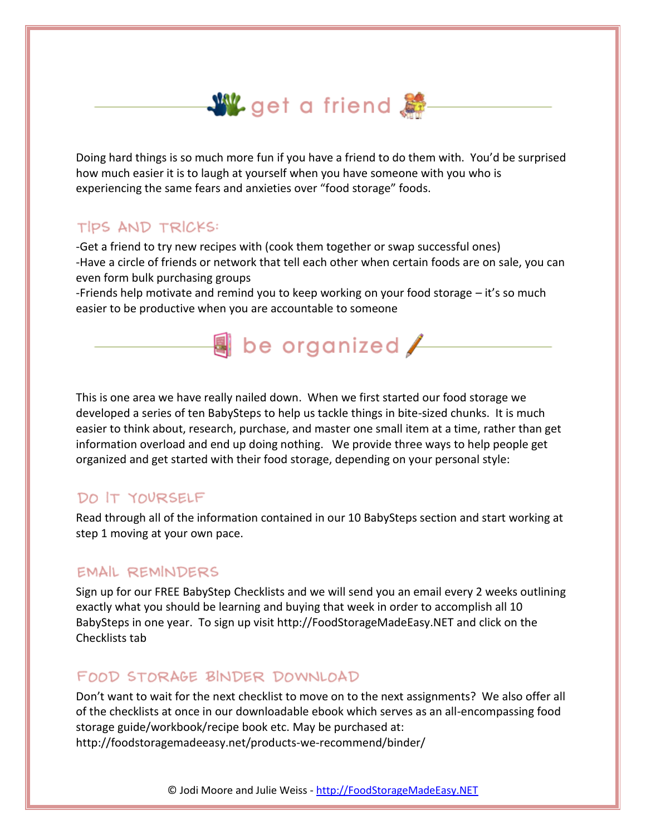

Doing hard things is so much more fun if you have a friend to do them with. You'd be surprised how much easier it is to laugh at yourself when you have someone with you who is experiencing the same fears and anxieties over "food storage" foods.

## TIPS AND TRICKS:

-Get a friend to try new recipes with (cook them together or swap successful ones) -Have a circle of friends or network that tell each other when certain foods are on sale, you can even form bulk purchasing groups

-Friends help motivate and remind you to keep working on your food storage – it's so much easier to be productive when you are accountable to someone

 $\overline{\mathbf{a}}$  be organized  $\angle$ 

This is one area we have really nailed down. When we first started our food storage we developed a series of ten BabySteps to help us tackle things in bite-sized chunks. It is much easier to think about, research, purchase, and master one small item at a time, rather than get information overload and end up doing nothing. We provide three ways to help people get organized and get started with their food storage, depending on your personal style:

#### DO IT YOURSELF

Read through all of the information contained in our 10 BabySteps section and start working at step 1 moving at your own pace.

#### EMAIL REMINDERS

Sign up for our FREE BabyStep Checklists and we will send you an email every 2 weeks outlining exactly what you should be learning and buying that week in order to accomplish all 10 BabySteps in one year. To sign up visit http://FoodStorageMadeEasy.NET and click on the Checklists tab

## FOOD STORAGE BINDER DOWNLOAD

Don't want to wait for the next checklist to move on to the next assignments? We also offer all of the checklists at once in our downloadable ebook which serves as an all-encompassing food storage guide/workbook/recipe book etc. May be purchased at: http://foodstoragemadeeasy.net/products-we-recommend/binder/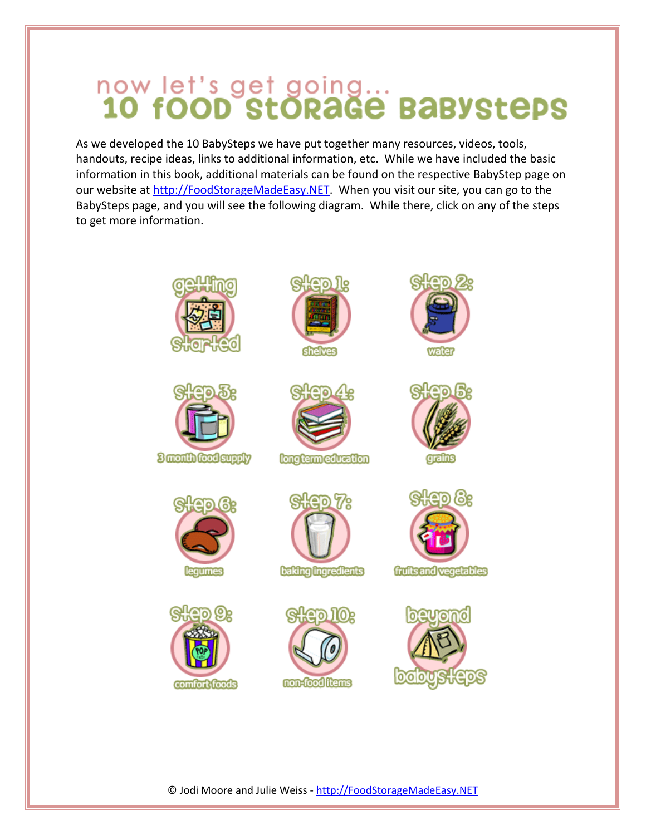# now let's get going...<br>10 fOOD StORaGE BaBYStEPS

As we developed the 10 BabySteps we have put together many resources, videos, tools, handouts, recipe ideas, links to additional information, etc. While we have included the basic information in this book, additional materials can be found on the respective BabyStep page on our website at [http://FoodStorageMadeEasy.NET.](http://foodstoragemadeeasy.net/) When you visit our site, you can go to the BabySteps page, and you will see the following diagram. While there, click on any of the steps to get more information.



© Jodi Moore and Julie Weiss - http://FoodStorageMadeEasy.NET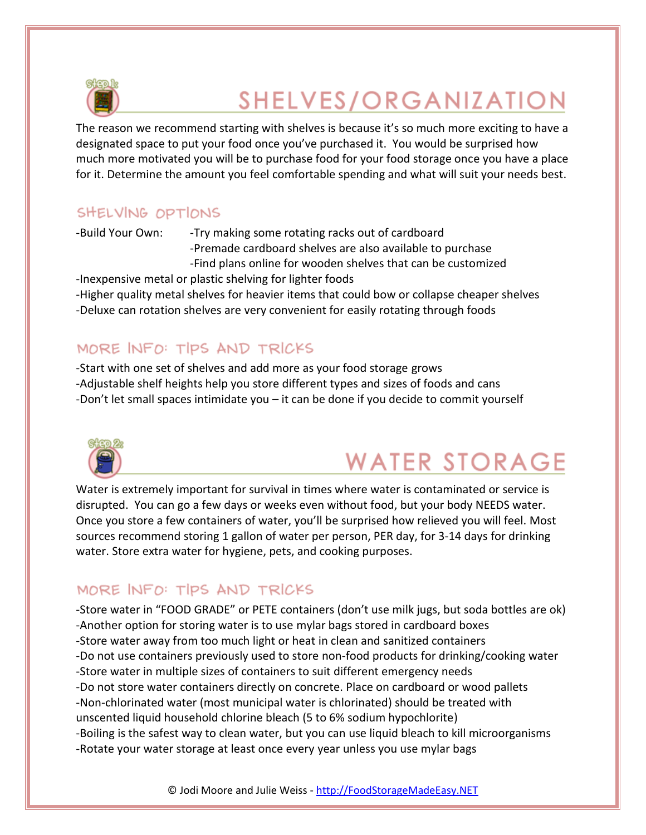

# SHELVES/ORGANIZATION

The reason we recommend starting with shelves is because it's so much more exciting to have a designated space to put your food once you've purchased it. You would be surprised how much more motivated you will be to purchase food for your food storage once you have a place for it. Determine the amount you feel comfortable spending and what will suit your needs best.

# SHELVING OPTIONS

-Build Your Own: - Try making some rotating racks out of cardboard -Premade cardboard shelves are also available to purchase -Find plans online for wooden shelves that can be customized

-Inexpensive metal or plastic shelving for lighter foods -Higher quality metal shelves for heavier items that could bow or collapse cheaper shelves -Deluxe can rotation shelves are very convenient for easily rotating through foods

# MORE INFO: TIPS AND TRICKS

-Start with one set of shelves and add more as your food storage grows -Adjustable shelf heights help you store different types and sizes of foods and cans -Don't let small spaces intimidate you – it can be done if you decide to commit yourself



# **WATER STORAGE**

Water is extremely important for survival in times where water is contaminated or service is disrupted. You can go a few days or weeks even without food, but your body NEEDS water. Once you store a few containers of water, you'll be surprised how relieved you will feel. Most sources recommend storing 1 gallon of water per person, PER day, for 3‐14 days for drinking water. Store extra water for hygiene, pets, and cooking purposes.

# MORE INFO: TIPS AND TRICKS

-Store water in "FOOD GRADE" or PETE containers (don't use milk jugs, but soda bottles are ok) -Another option for storing water is to use mylar bags stored in cardboard boxes -Store water away from too much light or heat in clean and sanitized containers -Do not use containers previously used to store non‐food products for drinking/cooking water -Store water in multiple sizes of containers to suit different emergency needs -Do not store water containers directly on concrete. Place on cardboard or wood pallets -Non‐chlorinated water (most municipal water is chlorinated) should be treated with unscented liquid household chlorine bleach (5 to 6% sodium hypochlorite) -Boiling is the safest way to clean water, but you can use liquid bleach to kill microorganisms -Rotate your water storage at least once every year unless you use mylar bags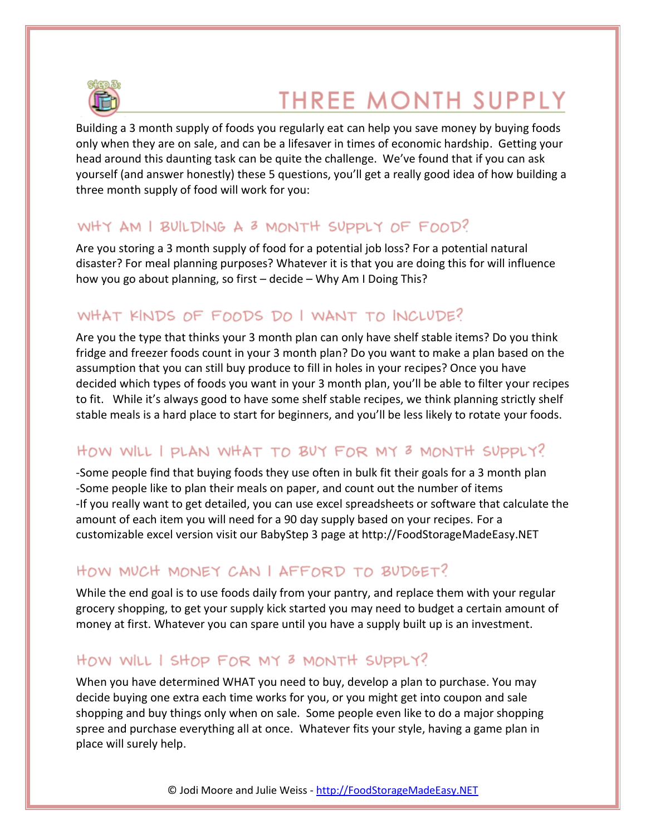

# **THREE MONTH SUPPLY**

Building a 3 month supply of foods you regularly eat can help you save money by buying foods only when they are on sale, and can be a lifesaver in times of economic hardship. Getting your head around this daunting task can be quite the challenge. We've found that if you can ask yourself (and answer honestly) these 5 questions, you'll get a really good idea of how building a three month supply of food will work for you:

# WHY AM I BUILDING A 3 MONTH SUPPLY OF FOOD?

Are you storing a 3 month supply of food for a potential job loss? For a potential natural disaster? For meal planning purposes? Whatever it is that you are doing this for will influence how you go about planning, so first – decide – Why Am I Doing This?

# WHAT KINDS OF FOODS DO I WANT TO INCLUDE?

Are you the type that thinks your 3 month plan can only have shelf stable items? Do you think fridge and freezer foods count in your 3 month plan? Do you want to make a plan based on the assumption that you can still buy produce to fill in holes in your recipes? Once you have decided which types of foods you want in your 3 month plan, you'll be able to filter your recipes to fit. While it's always good to have some shelf stable recipes, we think planning strictly shelf stable meals is a hard place to start for beginners, and you'll be less likely to rotate your foods.

# HOW WILL I PLAN WHAT TO BUY FOR MY 3 MONTH SUPPLY?

-Some people find that buying foods they use often in bulk fit their goals for a 3 month plan -Some people like to plan their meals on paper, and count out the number of items -If you really want to get detailed, you can use excel spreadsheets or software that calculate the amount of each item you will need for a 90 day supply based on your recipes. For a customizable excel version visit our BabyStep 3 page at http://FoodStorageMadeEasy.NET

# HOW MUCH MONEY CAN | AFFORD TO BUDGET?

While the end goal is to use foods daily from your pantry, and replace them with your regular grocery shopping, to get your supply kick started you may need to budget a certain amount of money at first. Whatever you can spare until you have a supply built up is an investment.

# HOW WILL I SHOP FOR MY 3 MONTH SUPPLY?

When you have determined WHAT you need to buy, develop a plan to purchase. You may decide buying one extra each time works for you, or you might get into coupon and sale shopping and buy things only when on sale. Some people even like to do a major shopping spree and purchase everything all at once. Whatever fits your style, having a game plan in place will surely help.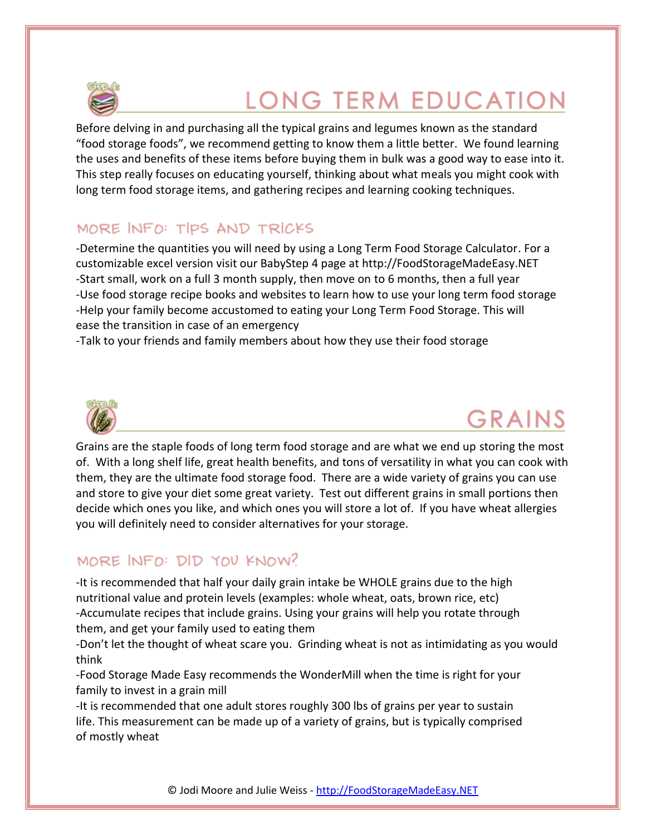

# **LONG TERM EDUCATION**

Before delving in and purchasing all the typical grains and legumes known as the standard "food storage foods", we recommend getting to know them a little better. We found learning the uses and benefits of these items before buying them in bulk was a good way to ease into it. This step really focuses on educating yourself, thinking about what meals you might cook with long term food storage items, and gathering recipes and learning cooking techniques.

# MORE INFO: TIPS AND TRICKS

-Determine the quantities you will need by using a Long Term Food Storage Calculator. For a customizable excel version visit our BabyStep 4 page at http://FoodStorageMadeEasy.NET -Start small, work on a full 3 month supply, then move on to 6 months, then a full year -Use food storage recipe books and websites to learn how to use your long term food storage -Help your family become accustomed to eating your Long Term Food Storage. This will ease the transition in case of an emergency

-Talk to your friends and family members about how they use their food storage



# **GRAINS**

Grains are the staple foods of long term food storage and are what we end up storing the most of. With a long shelf life, great health benefits, and tons of versatility in what you can cook with them, they are the ultimate food storage food. There are a wide variety of grains you can use and store to give your diet some great variety. Test out different grains in small portions then decide which ones you like, and which ones you will store a lot of. If you have wheat allergies you will definitely need to consider alternatives for your storage.

# MORE INFO: DID YOU KNOW?

-It is recommended that half your daily grain intake be WHOLE grains due to the high nutritional value and protein levels (examples: whole wheat, oats, brown rice, etc) -Accumulate recipes that include grains. Using your grains will help you rotate through them, and get your family used to eating them

-Don't let the thought of wheat scare you. Grinding wheat is not as intimidating as you would think

-Food Storage Made Easy recommends the WonderMill when the time is right for your family to invest in a grain mill

-It is recommended that one adult stores roughly 300 lbs of grains per year to sustain life. This measurement can be made up of a variety of grains, but is typically comprised of mostly wheat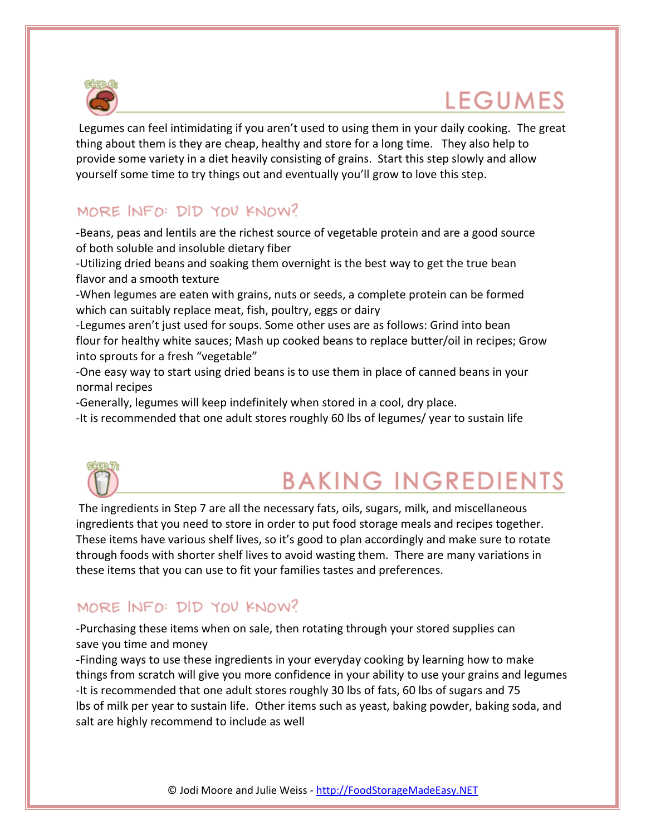

# **LEGUMES**

Legumes can feel intimidating if you aren't used to using them in your daily cooking. The great thing about them is they are cheap, healthy and store for a long time. They also help to provide some variety in a diet heavily consisting of grains. Start this step slowly and allow yourself some time to try things out and eventually you'll grow to love this step.

# MORE INFO: DID YOU KNOW?

-Beans, peas and lentils are the richest source of vegetable protein and are a good source of both soluble and insoluble dietary fiber

-Utilizing dried beans and soaking them overnight is the best way to get the true bean flavor and a smooth texture

-When legumes are eaten with grains, nuts or seeds, a complete protein can be formed which can suitably replace meat, fish, poultry, eggs or dairy

-Legumes aren't just used for soups. Some other uses are as follows: Grind into bean flour for healthy white sauces; Mash up cooked beans to replace butter/oil in recipes; Grow into sprouts for a fresh "vegetable"

-One easy way to start using dried beans is to use them in place of canned beans in your normal recipes

-Generally, legumes will keep indefinitely when stored in a cool, dry place.

-It is recommended that one adult stores roughly 60 lbs of legumes/ year to sustain life



# **BAKING INGREDIENTS**

The ingredients in Step 7 are all the necessary fats, oils, sugars, milk, and miscellaneous ingredients that you need to store in order to put food storage meals and recipes together. These items have various shelf lives, so it's good to plan accordingly and make sure to rotate through foods with shorter shelf lives to avoid wasting them. There are many variations in these items that you can use to fit your families tastes and preferences.

# MORE INFO: DID YOU KNOW?

-Purchasing these items when on sale, then rotating through your stored supplies can save you time and money

-Finding ways to use these ingredients in your everyday cooking by learning how to make things from scratch will give you more confidence in your ability to use your grains and legumes -It is recommended that one adult stores roughly 30 lbs of fats, 60 lbs of sugars and 75 lbs of milk per year to sustain life. Other items such as yeast, baking powder, baking soda, and salt are highly recommend to include as well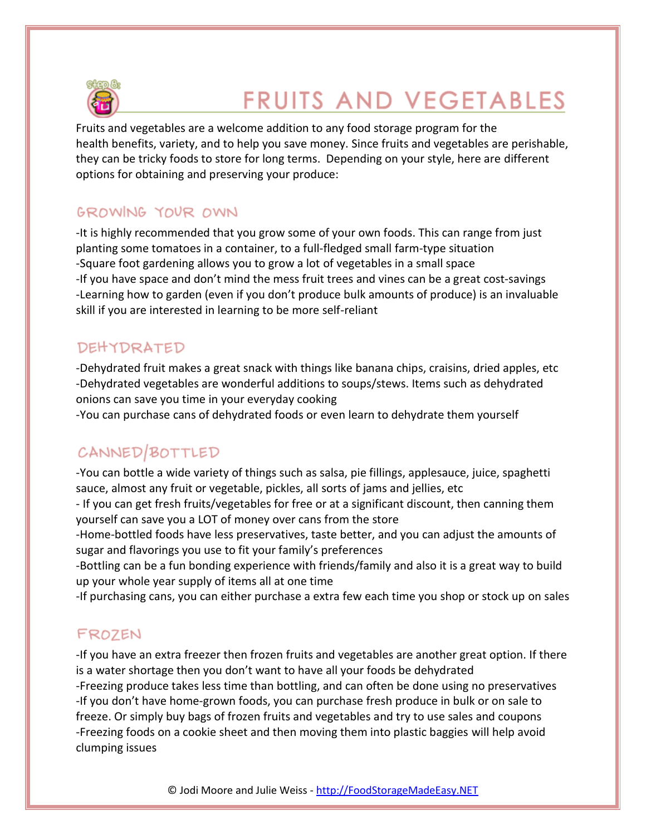

# **FRUITS AND VEGETABLES**

Fruits and vegetables are a welcome addition to any food storage program for the health benefits, variety, and to help you save money. Since fruits and vegetables are perishable, they can be tricky foods to store for long terms. Depending on your style, here are different options for obtaining and preserving your produce:

# GROWING YOUR OWN

-It is highly recommended that you grow some of your own foods. This can range from just planting some tomatoes in a container, to a full‐fledged small farm-type situation -Square foot gardening allows you to grow a lot of vegetables in a small space -If you have space and don't mind the mess fruit trees and vines can be a great cost‐savings -Learning how to garden (even if you don't produce bulk amounts of produce) is an invaluable skill if you are interested in learning to be more self-reliant

# **DEHYDRATED**

-Dehydrated fruit makes a great snack with things like banana chips, craisins, dried apples, etc -Dehydrated vegetables are wonderful additions to soups/stews. Items such as dehydrated onions can save you time in your everyday cooking

-You can purchase cans of dehydrated foods or even learn to dehydrate them yourself

# CANNED/BOTTLED

-You can bottle a wide variety of things such as salsa, pie fillings, applesauce, juice, spaghetti sauce, almost any fruit or vegetable, pickles, all sorts of jams and jellies, etc

- If you can get fresh fruits/vegetables for free or at a significant discount, then canning them yourself can save you a LOT of money over cans from the store

-Home‐bottled foods have less preservatives, taste better, and you can adjust the amounts of sugar and flavorings you use to fit your family's preferences

-Bottling can be a fun bonding experience with friends/family and also it is a great way to build up your whole year supply of items all at one time

-If purchasing cans, you can either purchase a extra few each time you shop or stock up on sales

# FROZEN

-If you have an extra freezer then frozen fruits and vegetables are another great option. If there is a water shortage then you don't want to have all your foods be dehydrated -Freezing produce takes less time than bottling, and can often be done using no preservatives -If you don't have home‐grown foods, you can purchase fresh produce in bulk or on sale to freeze. Or simply buy bags of frozen fruits and vegetables and try to use sales and coupons -Freezing foods on a cookie sheet and then moving them into plastic baggies will help avoid clumping issues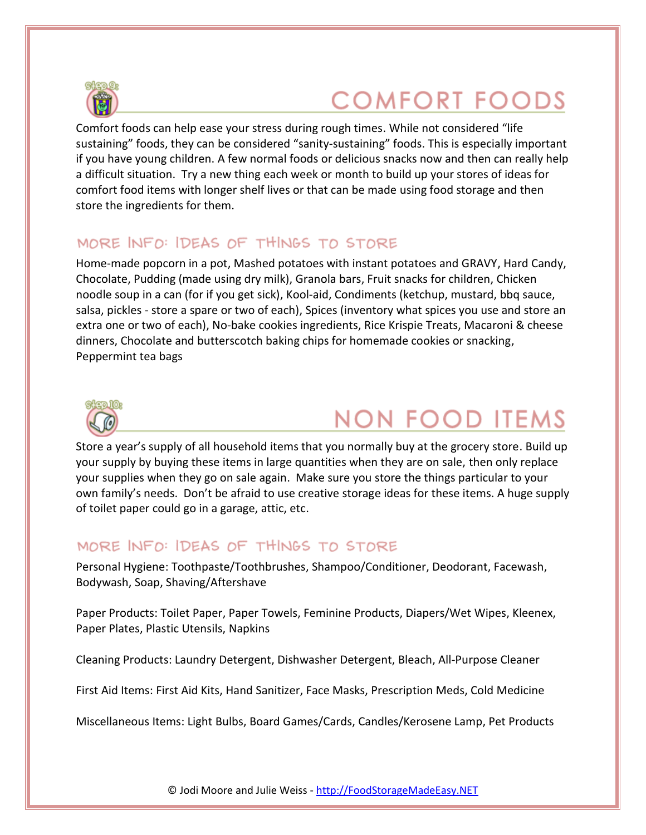

# **COMFORT FOODS**

Comfort foods can help ease your stress during rough times. While not considered "life sustaining" foods, they can be considered "sanity-sustaining" foods. This is especially important if you have young children. A few normal foods or delicious snacks now and then can really help a difficult situation. Try a new thing each week or month to build up your stores of ideas for comfort food items with longer shelf lives or that can be made using food storage and then store the ingredients for them.

## MORE INFO: IDEAS OF THINGS TO STORE

Home-made popcorn in a pot, Mashed potatoes with instant potatoes and GRAVY, Hard Candy, Chocolate, Pudding (made using dry milk), Granola bars, Fruit snacks for children, Chicken noodle soup in a can (for if you get sick), Kool-aid, Condiments (ketchup, mustard, bbq sauce, salsa, pickles - store a spare or two of each), Spices (inventory what spices you use and store an extra one or two of each), No-bake cookies ingredients, Rice Krispie Treats, Macaroni & cheese dinners, Chocolate and butterscotch baking chips for homemade cookies or snacking, Peppermint tea bags



# **NON FOOD ITEMS**

Store a year's supply of all household items that you normally buy at the grocery store. Build up your supply by buying these items in large quantities when they are on sale, then only replace your supplies when they go on sale again. Make sure you store the things particular to your own family's needs. Don't be afraid to use creative storage ideas for these items. A huge supply of toilet paper could go in a garage, attic, etc.

## MORE INFO: IDEAS OF THINGS TO STORE

Personal Hygiene: Toothpaste/Toothbrushes, Shampoo/Conditioner, Deodorant, Facewash, Bodywash, Soap, Shaving/Aftershave

Paper Products: Toilet Paper, Paper Towels, Feminine Products, Diapers/Wet Wipes, Kleenex, Paper Plates, Plastic Utensils, Napkins

Cleaning Products: Laundry Detergent, Dishwasher Detergent, Bleach, All‐Purpose Cleaner

First Aid Items: First Aid Kits, Hand Sanitizer, Face Masks, Prescription Meds, Cold Medicine

Miscellaneous Items: Light Bulbs, Board Games/Cards, Candles/Kerosene Lamp, Pet Products

© Jodi Moore and Julie Weiss - http://FoodStorageMadeEasy.NET